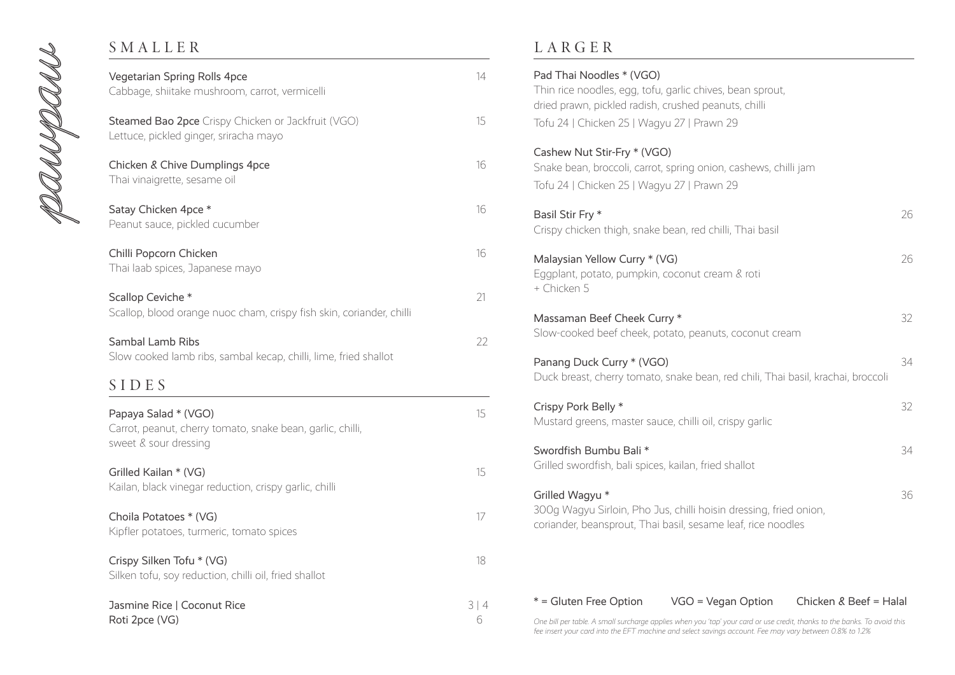# SMALLER

PONICON

| Vegetarian Spring Rolls 4pce<br>Cabbage, shiitake mushroom, carrot, vermicelli                              | 14       |
|-------------------------------------------------------------------------------------------------------------|----------|
| Steamed Bao 2pce Crispy Chicken or Jackfruit (VGO)<br>Lettuce, pickled ginger, sriracha mayo                | 15       |
| Chicken & Chive Dumplings 4pce<br>Thai vinaigrette, sesame oil                                              | 16       |
| Satay Chicken 4pce *<br>Peanut sauce, pickled cucumber                                                      | 16       |
| Chilli Popcorn Chicken<br>Thai laab spices, Japanese mayo                                                   | 16       |
| Scallop Ceviche *<br>Scallop, blood orange nuoc cham, crispy fish skin, coriander, chilli                   | 21       |
| Sambal Lamb Ribs<br>Slow cooked lamb ribs, sambal kecap, chilli, lime, fried shallot                        | 22       |
| SIDES                                                                                                       |          |
| Papaya Salad * (VGO)<br>Carrot, peanut, cherry tomato, snake bean, garlic, chilli,<br>sweet & sour dressing | 15       |
| Grilled Kailan * (VG)<br>Kailan, black vinegar reduction, crispy garlic, chilli                             | 15       |
| Choila Potatoes * (VG)<br>Kipfler potatoes, turmeric, tomato spices                                         | 17       |
| Crispy Silken Tofu * (VG)<br>Silken tofu, soy reduction, chilli oil, fried shallot                          | 18       |
| Jasmine Rice   Coconut Rice<br>Roti 2pce (VG)                                                               | 3 4<br>6 |

### LARGER

| Pad Thai Noodles * (VGO)<br>Thin rice noodles, egg, tofu, garlic chives, bean sprout,<br>dried prawn, pickled radish, crushed peanuts, chilli                                                      |    |
|----------------------------------------------------------------------------------------------------------------------------------------------------------------------------------------------------|----|
| Tofu 24   Chicken 25   Wagyu 27   Prawn 29                                                                                                                                                         |    |
| Cashew Nut Stir-Fry * (VGO)<br>Snake bean, broccoli, carrot, spring onion, cashews, chilli jam<br>Tofu 24   Chicken 25   Wagyu 27   Prawn 29                                                       |    |
| Basil Stir Fry *<br>Crispy chicken thigh, snake bean, red chilli, Thai basil                                                                                                                       | 26 |
| Malaysian Yellow Curry * (VG)<br>Eggplant, potato, pumpkin, coconut cream & roti<br>+ Chicken 5                                                                                                    | 26 |
| Massaman Beef Cheek Curry *<br>Slow-cooked beef cheek, potato, peanuts, coconut cream                                                                                                              | 32 |
| Panang Duck Curry * (VGO)<br>Duck breast, cherry tomato, snake bean, red chili, Thai basil, krachai, broccoli                                                                                      | 34 |
| Crispy Pork Belly *<br>Mustard greens, master sauce, chilli oil, crispy garlic                                                                                                                     | 32 |
| Swordfish Bumbu Bali *<br>Grilled swordfish, bali spices, kailan, fried shallot                                                                                                                    | 34 |
| Grilled Wagyu *<br>300g Wagyu Sirloin, Pho Jus, chilli hoisin dressing, fried onion,<br>coriander, beansprout, Thai basil, sesame leaf, rice noodles                                               | 36 |
| * = Gluten Free Option<br>VGO = Vegan Option<br>Chicken & Beef = Halal<br>One bill per table. A small surcharge applies when you 'tap' your card or use credit, thanks to the banks. To avoid this |    |

*fee insert your card into the EFT machine and select savings account. Fee may vary between 0.8% to 1.2%*